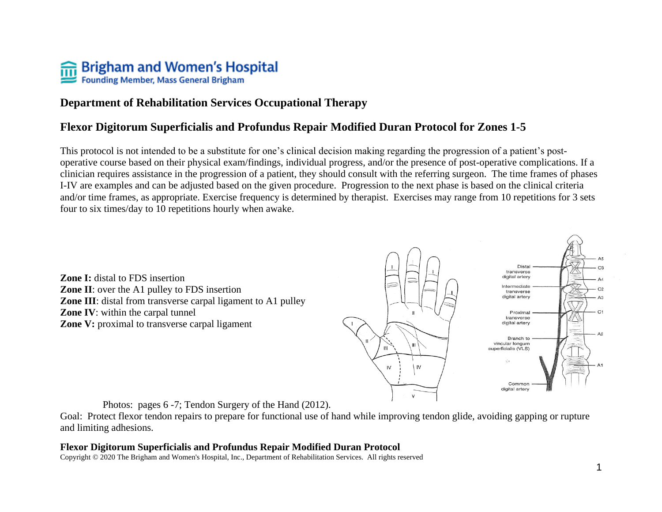# **THE SPISSIAN START SPISSIAN START SPISSIAN SPISSIAN SPISSIAN SPISSIAN SPISSIAN SPISSIAN SPISSIAN SPISSIAN SPISSIAN SPISSIAN SPISSIAN SPISSIAN SPISSIAN SPISSIAN SPISSIAN SPISSIAN SPISSIAN SPISSIAN SPISSIAN SPISSIAN SPISSIA**

# **Department of Rehabilitation Services Occupational Therapy**

## **Flexor Digitorum Superficialis and Profundus Repair Modified Duran Protocol for Zones 1-5**

This protocol is not intended to be a substitute for one's clinical decision making regarding the progression of a patient's postoperative course based on their physical exam/findings, individual progress, and/or the presence of post-operative complications. If a clinician requires assistance in the progression of a patient, they should consult with the referring surgeon. The time frames of phases I-IV are examples and can be adjusted based on the given procedure. Progression to the next phase is based on the clinical criteria and/or time frames, as appropriate. Exercise frequency is determined by therapist. Exercises may range from 10 repetitions for 3 sets four to six times/day to 10 repetitions hourly when awake.

**Zone I:** distal to FDS insertion **Zone II**: over the A1 pulley to FDS insertion **Zone III**: distal from transverse carpal ligament to A1 pulley **Zone IV**: within the carpal tunnel **Zone V:** proximal to transverse carpal ligament



Photos: pages 6 -7; Tendon Surgery of the Hand (2012).

Goal: Protect flexor tendon repairs to prepare for functional use of hand while improving tendon glide, avoiding gapping or rupture and limiting adhesions.

#### **Flexor Digitorum Superficialis and Profundus Repair Modified Duran Protocol**

Copyright © 2020 The Brigham and Women's Hospital, Inc., Department of Rehabilitation Services. All rights reserved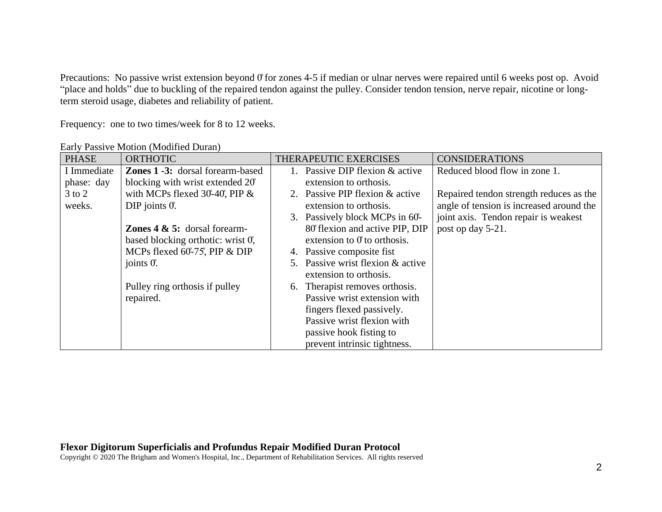Precautions: No passive wrist extension beyond  $\theta$  for zones 4-5 if median or ulnar nerves were repaired until 6 weeks post op. Avoid "place and holds" due to buckling of the repaired tendon against the pulley. Consider tendon tension, nerve repair, nicotine or longterm steroid usage, diabetes and reliability of patient.

Frequency: one to two times/week for 8 to 12 weeks.

| <b>PHASE</b> | <b>ORTHOTIC</b>                         | THERAPEUTIC EXERCISES<br><b>CONSIDERATIONS</b>                             |
|--------------|-----------------------------------------|----------------------------------------------------------------------------|
| I Immediate  | <b>Zones 1 -3:</b> dorsal forearm-based | 1. Passive DIP flexion & active<br>Reduced blood flow in zone 1.           |
| phase: day   | blocking with wrist extended 20°        | extension to orthosis.                                                     |
| $3$ to $2$   | with MCPs flexed $30-40$ , PIP &        | 2. Passive PIP flexion & active<br>Repaired tendon strength reduces as the |
| weeks.       | DIP joints $0$ .                        | angle of tension is increased around the<br>extension to orthosis.         |
|              |                                         | joint axis. Tendon repair is weakest<br>3. Passively block MCPs in 60-     |
|              | <b>Zones 4 &amp; 5:</b> dorsal forearm- | 80 flexion and active PIP, DIP<br>post op day 5-21.                        |
|              | based blocking orthotic: wrist 0,       | extension to $0o$ to orthosis.                                             |
|              | MCPs flexed 60-75, PIP & DIP            | 4. Passive composite fist                                                  |
|              | joints $0$ .                            | 5. Passive wrist flexion & active                                          |
|              |                                         | extension to orthosis.                                                     |
|              | Pulley ring orthosis if pulley          | Therapist removes orthosis.<br>6.                                          |
|              | repaired.                               | Passive wrist extension with                                               |
|              |                                         | fingers flexed passively.                                                  |
|              |                                         | Passive wrist flexion with                                                 |
|              |                                         | passive hook fisting to                                                    |
|              |                                         | prevent intrinsic tightness.                                               |

Early Passive Motion (Modified Duran)

#### **Flexor Digitorum Superficialis and Profundus Repair Modified Duran Protocol**

Copyright © 2020 The Brigham and Women's Hospital, Inc., Department of Rehabilitation Services. All rights reserved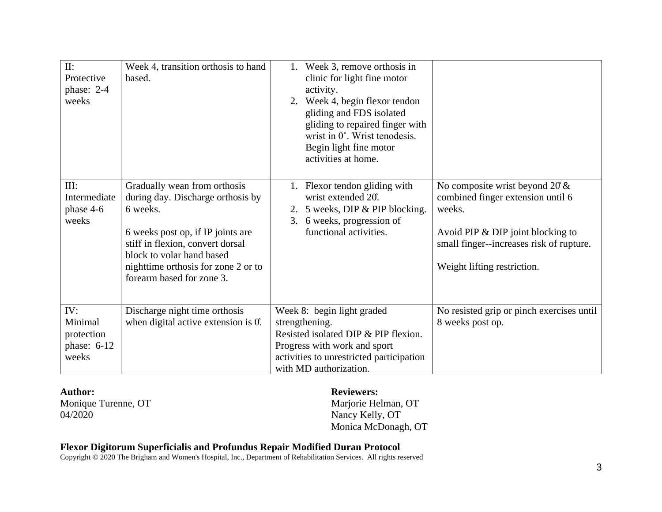| II:<br>Protective<br>phase: 2-4                        | Week 4, transition orthosis to hand<br>based.                                                                                                                                                                                                           | 1. Week 3, remove orthosis in<br>clinic for light fine motor<br>activity.                                                                                                                  |                                                                                                                                                                                                    |
|--------------------------------------------------------|---------------------------------------------------------------------------------------------------------------------------------------------------------------------------------------------------------------------------------------------------------|--------------------------------------------------------------------------------------------------------------------------------------------------------------------------------------------|----------------------------------------------------------------------------------------------------------------------------------------------------------------------------------------------------|
| weeks                                                  |                                                                                                                                                                                                                                                         | 2. Week 4, begin flexor tendon<br>gliding and FDS isolated<br>gliding to repaired finger with<br>wrist in 0°. Wrist tenodesis.<br>Begin light fine motor<br>activities at home.            |                                                                                                                                                                                                    |
| III:<br>Intermediate<br>phase 4-6<br>weeks             | Gradually wean from orthosis<br>during day. Discharge orthosis by<br>6 weeks.<br>6 weeks post op, if IP joints are<br>stiff in flexion, convert dorsal<br>block to volar hand based<br>nighttime orthosis for zone 2 or to<br>forearm based for zone 3. | 1. Flexor tendon gliding with<br>wrist extended 20°.<br>5 weeks, DIP & PIP blocking.<br>2.<br>6 weeks, progression of<br>3.<br>functional activities.                                      | No composite wrist beyond $20 \&$<br>combined finger extension until 6<br>weeks.<br>Avoid PIP $&$ DIP joint blocking to<br>small finger--increases risk of rupture.<br>Weight lifting restriction. |
| IV:<br>Minimal<br>protection<br>phase: $6-12$<br>weeks | Discharge night time orthosis<br>when digital active extension is $0$ .                                                                                                                                                                                 | Week 8: begin light graded<br>strengthening.<br>Resisted isolated DIP & PIP flexion.<br>Progress with work and sport<br>activities to unrestricted participation<br>with MD authorization. | No resisted grip or pinch exercises until<br>8 weeks post op.                                                                                                                                      |

Monique Turenne, OT Marjorie Helman, OT 04/2020 Nancy Kelly, OT

**Author: Reviewers:**

Monica McDonagh, OT

#### **Flexor Digitorum Superficialis and Profundus Repair Modified Duran Protocol**

Copyright © 2020 The Brigham and Women's Hospital, Inc., Department of Rehabilitation Services. All rights reserved